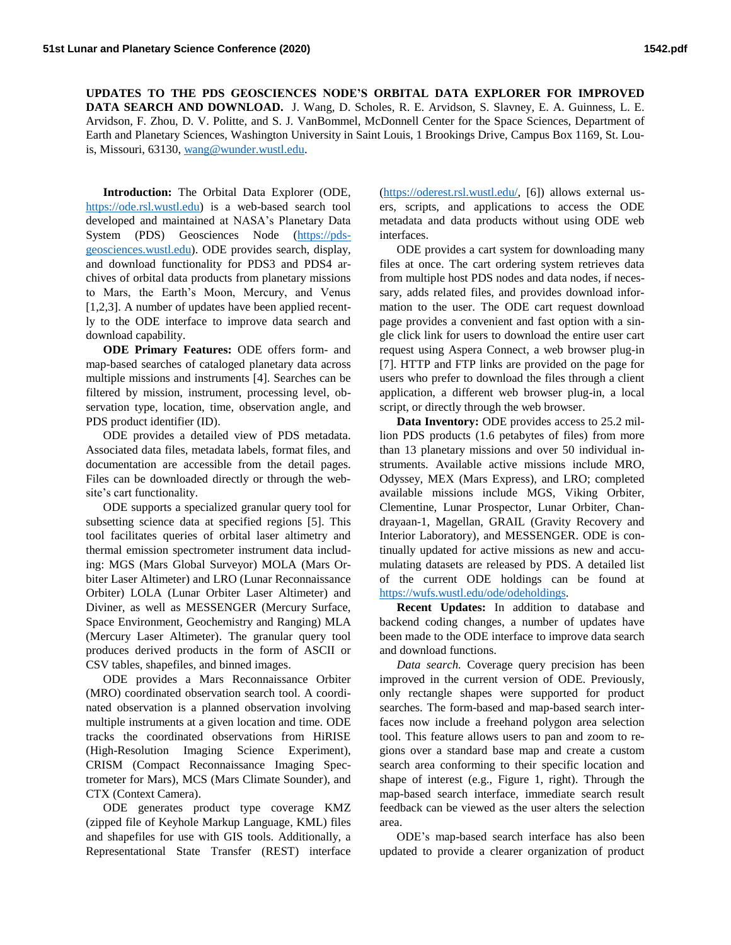**UPDATES TO THE PDS GEOSCIENCES NODE'S ORBITAL DATA EXPLORER FOR IMPROVED DATA SEARCH AND DOWNLOAD.** J. Wang, D. Scholes, R. E. Arvidson, S. Slavney, E. A. Guinness, L. E. Arvidson, F. Zhou, D. V. Politte, and S. J. VanBommel, McDonnell Center for the Space Sciences, Department of Earth and Planetary Sciences, Washington University in Saint Louis, 1 Brookings Drive, Campus Box 1169, St. Louis, Missouri, 63130, [wang@wunder.wustl.edu.](mailto:wang@wunder.wustl.edu)

**Introduction:** The Orbital Data Explorer (ODE, [https://ode.rsl.wustl.edu\)](https://ode.rsl.wustl.edu/) is a web-based search tool developed and maintained at NASA's Planetary Data System (PDS) Geosciences Node [\(https://pds](https://pds-geosciences.wustl.edu/)[geosciences.wustl.edu\)](https://pds-geosciences.wustl.edu/). ODE provides search, display, and download functionality for PDS3 and PDS4 archives of orbital data products from planetary missions to Mars, the Earth's Moon, Mercury, and Venus [1,2,3]. A number of updates have been applied recently to the ODE interface to improve data search and download capability.

**ODE Primary Features:** ODE offers form- and map-based searches of cataloged planetary data across multiple missions and instruments [4]. Searches can be filtered by mission, instrument, processing level, observation type, location, time, observation angle, and PDS product identifier (ID).

ODE provides a detailed view of PDS metadata. Associated data files, metadata labels, format files, and documentation are accessible from the detail pages. Files can be downloaded directly or through the website's cart functionality.

ODE supports a specialized granular query tool for subsetting science data at specified regions [5]. This tool facilitates queries of orbital laser altimetry and thermal emission spectrometer instrument data including: MGS (Mars Global Surveyor) MOLA (Mars Orbiter Laser Altimeter) and LRO (Lunar Reconnaissance Orbiter) LOLA (Lunar Orbiter Laser Altimeter) and Diviner, as well as MESSENGER (Mercury Surface, Space Environment, Geochemistry and Ranging) MLA (Mercury Laser Altimeter). The granular query tool produces derived products in the form of ASCII or CSV tables, shapefiles, and binned images.

ODE provides a Mars Reconnaissance Orbiter (MRO) coordinated observation search tool. A coordinated observation is a planned observation involving multiple instruments at a given location and time. ODE tracks the coordinated observations from HiRISE (High-Resolution Imaging Science Experiment), CRISM (Compact Reconnaissance Imaging Spectrometer for Mars), MCS (Mars Climate Sounder), and CTX (Context Camera).

ODE generates product type coverage KMZ (zipped file of Keyhole Markup Language, KML) files and shapefiles for use with GIS tools. Additionally, a Representational State Transfer (REST) interface

[\(https://oderest.rsl.wustl.edu/,](https://oderest.rsl.wustl.edu/) [6]) allows external users, scripts, and applications to access the ODE metadata and data products without using ODE web interfaces.

ODE provides a cart system for downloading many files at once. The cart ordering system retrieves data from multiple host PDS nodes and data nodes, if necessary, adds related files, and provides download information to the user. The ODE cart request download page provides a convenient and fast option with a single click link for users to download the entire user cart request using Aspera Connect, a web browser plug-in [7]. HTTP and FTP links are provided on the page for users who prefer to download the files through a client application, a different web browser plug-in, a local script, or directly through the web browser.

**Data Inventory:** ODE provides access to 25.2 million PDS products (1.6 petabytes of files) from more than 13 planetary missions and over 50 individual instruments. Available active missions include MRO, Odyssey, MEX (Mars Express), and LRO; completed available missions include MGS, Viking Orbiter, Clementine, Lunar Prospector, Lunar Orbiter, Chandrayaan-1, Magellan, GRAIL (Gravity Recovery and Interior Laboratory), and MESSENGER. ODE is continually updated for active missions as new and accumulating datasets are released by PDS. A detailed list of the current ODE holdings can be found at [https://wufs.wustl.edu/ode/odeholdings.](https://wufs.wustl.edu/ode/odeholdings)

**Recent Updates:** In addition to database and backend coding changes, a number of updates have been made to the ODE interface to improve data search and download functions.

*Data search.* Coverage query precision has been improved in the current version of ODE. Previously, only rectangle shapes were supported for product searches. The form-based and map-based search interfaces now include a freehand polygon area selection tool. This feature allows users to pan and zoom to regions over a standard base map and create a custom search area conforming to their specific location and shape of interest (e.g., Figure 1, right). Through the map-based search interface, immediate search result feedback can be viewed as the user alters the selection area.

ODE's map-based search interface has also been updated to provide a clearer organization of product